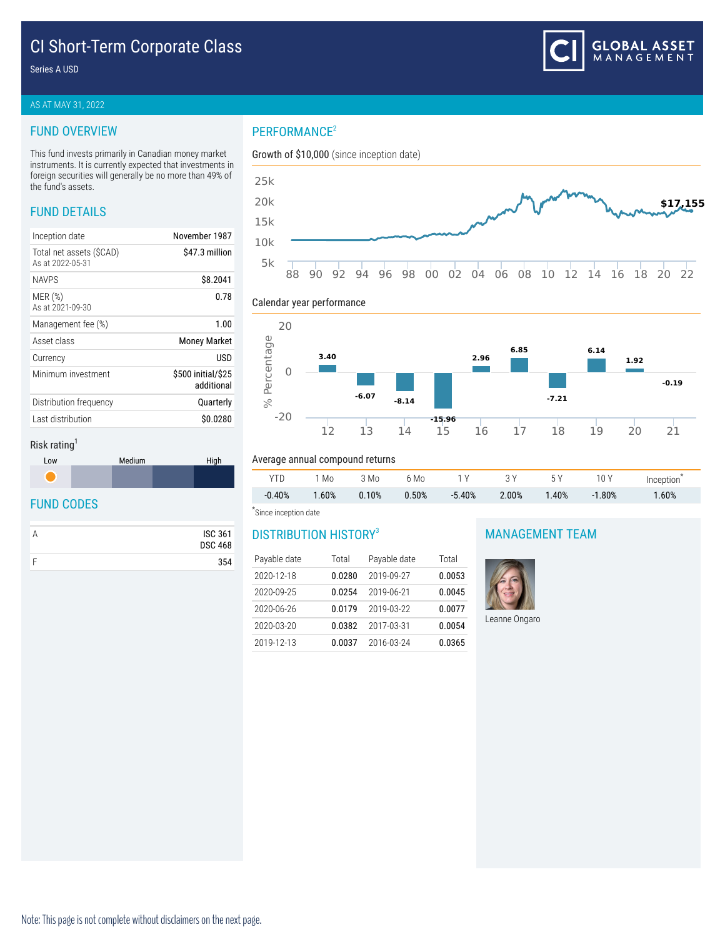# CI Short-Term Corporate Class

Series A USD

#### AS AT MAY 31, 2022

#### FUND OVERVIEW

This fund invests primarily in Canadian money market instruments. It is currently expected that investments in foreign securities will generally be no more than 49% of the fund's assets.

# FUND DETAILS

| Inception date                              | November 1987                    |
|---------------------------------------------|----------------------------------|
| Total net assets (SCAD)<br>As at 2022-05-31 | \$47.3 million                   |
| <b>NAVPS</b>                                | \$8.2041                         |
| MER(%)<br>As at 2021-09-30                  | 0.78                             |
| Management fee (%)                          | 1.00                             |
| Asset class                                 | <b>Money Market</b>              |
| Currency                                    | USD                              |
| Minimum investment                          | \$500 initial/\$25<br>additional |
| Distribution frequency                      | Quarterly                        |
| Last distribution                           | \$0.0280                         |
|                                             |                                  |



#### Calendar year performance



#### Risk rating<sup>1</sup>



### FUND CODES

| <b>ISC 361</b><br><b>DSC 468</b> |
|----------------------------------|
| 354                              |

# Average annual compound returns

| YTD      | 1 Mo     | 3 Mo  | 6 Mo  | 1 V       | 3V       | 5 Y      | 10 Y     | Inception |
|----------|----------|-------|-------|-----------|----------|----------|----------|-----------|
| $-0.40%$ | $1.60\%$ | 0.10% | 0.50% | $-5.40\%$ | $2.00\%$ | $1.40\%$ | $-1.80%$ | 1.60%     |

#### \* Since inception date

## DISTRIBUTION HISTORY<sup>3</sup>

| Payable date | Total  | Payable date | Total  |
|--------------|--------|--------------|--------|
| 2020-12-18   | 0.0280 | 2019-09-27   | 0.0053 |
| 2020-09-25   | 0.0254 | 2019-06-21   | 0.0045 |
| 2020-06-26   | 0.0179 | 2019-03-22   | 0.0077 |
| 2020-03-20   | 0.0382 | 2017-03-31   | 0.0054 |
| 2019-12-13   | 0.0037 | 2016-03-24   | 0.0365 |

#### MANAGEMENT TEAM



Leanne Ongaro

# PERFORMANCE<sup>2</sup>

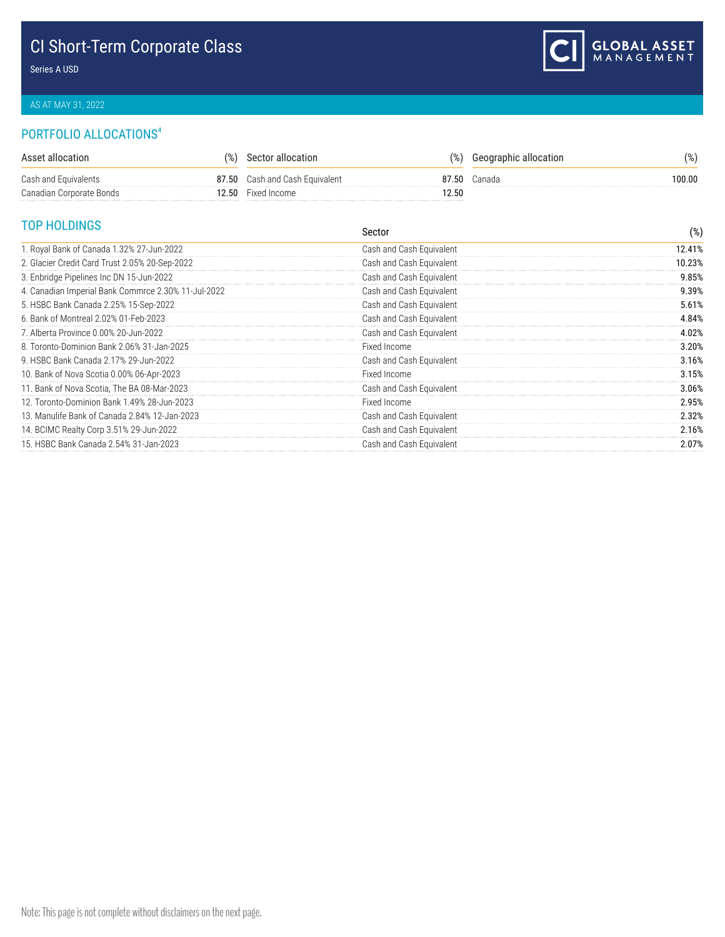# CI Short-Term Corporate Class

Series A USD

## AS AT MAY 31, 2022

# PORTFOLIO ALLOCATIONS<sup>4</sup>

| Asset allocation         | $\%$ | Sector allocation              | $\frac{9}{6}$ | Geographic allocation | $\%$ ) |
|--------------------------|------|--------------------------------|---------------|-----------------------|--------|
| Cash and Equivalents     |      | 87.50 Cash and Cash Equivalent | 87.50         | Canada                | 100.00 |
| Canadian Corporate Bonds |      | 12.50 Fixed Income             | 2.50          |                       |        |

# TOP HOLDINGS

| טטוועבטוו וטו                                       | Sector                   | $(\%)$ |
|-----------------------------------------------------|--------------------------|--------|
| 1. Royal Bank of Canada 1.32% 27-Jun-2022           | Cash and Cash Equivalent | 12.41% |
| 2. Glacier Credit Card Trust 2.05% 20-Sep-2022      | Cash and Cash Equivalent | 10.23% |
| 3. Enbridge Pipelines Inc DN 15-Jun-2022            | Cash and Cash Equivalent | 9.85%  |
| 4. Canadian Imperial Bank Commrce 2.30% 11-Jul-2022 | Cash and Cash Equivalent | 9.39%  |
| 5. HSBC Bank Canada 2.25% 15-Sep-2022               | Cash and Cash Equivalent | 5.61%  |
| 6. Bank of Montreal 2.02% 01-Feb-2023               | Cash and Cash Equivalent | 4.84%  |
| 7. Alberta Province 0.00% 20-Jun-2022               | Cash and Cash Equivalent | 4.02%  |
| 8. Toronto-Dominion Bank 2.06% 31-Jan-2025          | Fixed Income             | 3.20%  |
| 9. HSBC Bank Canada 2.17% 29-Jun-2022               | Cash and Cash Equivalent | 3.16%  |
| 10. Bank of Nova Scotia 0.00% 06-Apr-2023           | Fixed Income             | 3.15%  |
| 11. Bank of Nova Scotia, The BA 08-Mar-2023         | Cash and Cash Equivalent | 3.06%  |
| 12. Toronto-Dominion Bank 1.49% 28-Jun-2023         | Fixed Income             | 2.95%  |
| 13. Manulife Bank of Canada 2.84% 12-Jan-2023       | Cash and Cash Equivalent | 2.32%  |
| 14. BCIMC Realty Corp 3.51% 29-Jun-2022             | Cash and Cash Equivalent | 2.16%  |
| 15. HSBC Bank Canada 2.54% 31-Jan-2023              | Cash and Cash Equivalent | 2.07%  |